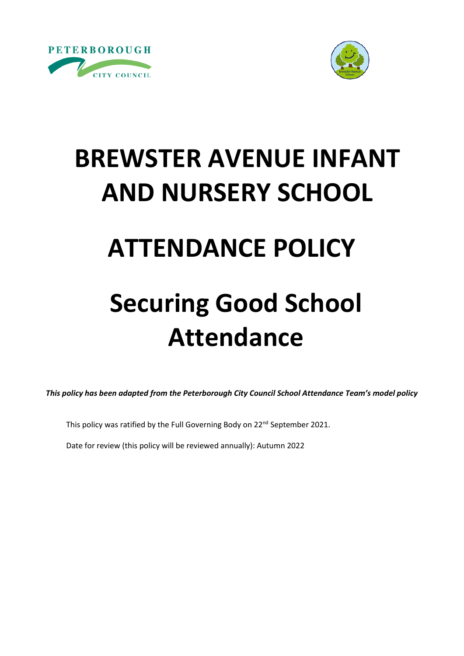



# **BREWSTER AVENUE INFANT AND NURSERY SCHOOL**

### **ATTENDANCE POLICY**

## **Securing Good School Attendance**

*This policy has been adapted from the Peterborough City Council School Attendance Team's model policy*

This policy was ratified by the Full Governing Body on 22<sup>nd</sup> September 2021.

Date for review (this policy will be reviewed annually): Autumn 2022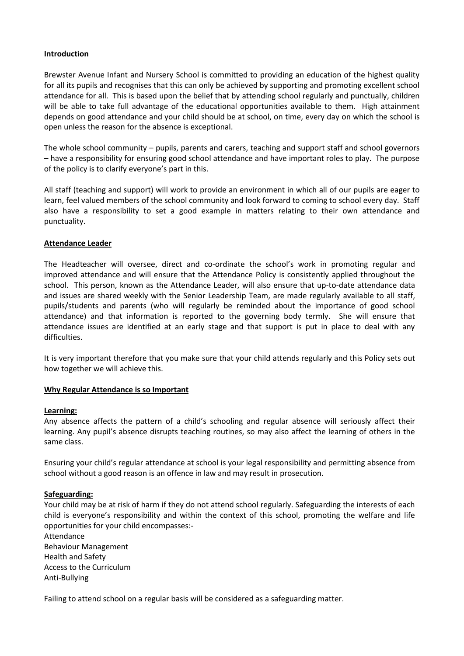#### **Introduction**

Brewster Avenue Infant and Nursery School is committed to providing an education of the highest quality for all its pupils and recognises that this can only be achieved by supporting and promoting excellent school attendance for all. This is based upon the belief that by attending school regularly and punctually, children will be able to take full advantage of the educational opportunities available to them. High attainment depends on good attendance and your child should be at school, on time, every day on which the school is open unless the reason for the absence is exceptional.

The whole school community – pupils, parents and carers, teaching and support staff and school governors – have a responsibility for ensuring good school attendance and have important roles to play. The purpose of the policy is to clarify everyone's part in this.

All staff (teaching and support) will work to provide an environment in which all of our pupils are eager to learn, feel valued members of the school community and look forward to coming to school every day. Staff also have a responsibility to set a good example in matters relating to their own attendance and punctuality.

#### **Attendance Leader**

The Headteacher will oversee, direct and co-ordinate the school's work in promoting regular and improved attendance and will ensure that the Attendance Policy is consistently applied throughout the school. This person, known as the Attendance Leader, will also ensure that up-to-date attendance data and issues are shared weekly with the Senior Leadership Team, are made regularly available to all staff, pupils/students and parents (who will regularly be reminded about the importance of good school attendance) and that information is reported to the governing body termly. She will ensure that attendance issues are identified at an early stage and that support is put in place to deal with any difficulties.

It is very important therefore that you make sure that your child attends regularly and this Policy sets out how together we will achieve this.

#### **Why Regular Attendance is so Important**

#### **Learning:**

Any absence affects the pattern of a child's schooling and regular absence will seriously affect their learning. Any pupil's absence disrupts teaching routines, so may also affect the learning of others in the same class.

Ensuring your child's regular attendance at school is your legal responsibility and permitting absence from school without a good reason is an offence in law and may result in prosecution.

#### **Safeguarding:**

Your child may be at risk of harm if they do not attend school regularly. Safeguarding the interests of each child is everyone's responsibility and within the context of this school, promoting the welfare and life opportunities for your child encompasses:-

Attendance Behaviour Management Health and Safety Access to the Curriculum Anti-Bullying

Failing to attend school on a regular basis will be considered as a safeguarding matter.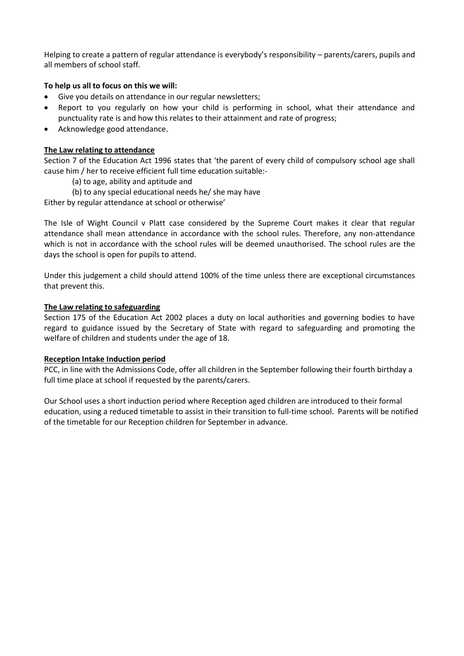Helping to create a pattern of regular attendance is everybody's responsibility – parents/carers, pupils and all members of school staff.

#### **To help us all to focus on this we will:**

- Give you details on attendance in our regular newsletters;
- Report to you regularly on how your child is performing in school, what their attendance and punctuality rate is and how this relates to their attainment and rate of progress;
- Acknowledge good attendance.

#### **The Law relating to attendance**

Section 7 of the Education Act 1996 states that 'the parent of every child of compulsory school age shall cause him / her to receive efficient full time education suitable:-

- (a) to age, ability and aptitude and
- (b) to any special educational needs he/ she may have

Either by regular attendance at school or otherwise'

The Isle of Wight Council v Platt case considered by the Supreme Court makes it clear that regular attendance shall mean attendance in accordance with the school rules. Therefore, any non-attendance which is not in accordance with the school rules will be deemed unauthorised. The school rules are the days the school is open for pupils to attend.

Under this judgement a child should attend 100% of the time unless there are exceptional circumstances that prevent this.

#### **The Law relating to safeguarding**

Section 175 of the Education Act 2002 places a duty on local authorities and governing bodies to have regard to guidance issued by the Secretary of State with regard to safeguarding and promoting the welfare of children and students under the age of 18.

#### **Reception Intake Induction period**

PCC, in line with the Admissions Code, offer all children in the September following their fourth birthday a full time place at school if requested by the parents/carers.

Our School uses a short induction period where Reception aged children are introduced to their formal education, using a reduced timetable to assist in their transition to full-time school. Parents will be notified of the timetable for our Reception children for September in advance.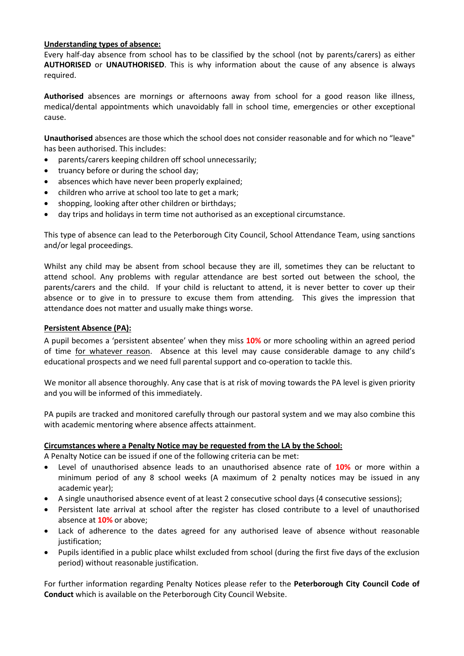#### **Understanding types of absence:**

Every half-day absence from school has to be classified by the school (not by parents/carers) as either **AUTHORISED** or **UNAUTHORISED**. This is why information about the cause of any absence is always required.

**Authorised** absences are mornings or afternoons away from school for a good reason like illness, medical/dental appointments which unavoidably fall in school time, emergencies or other exceptional cause.

**Unauthorised** absences are those which the school does not consider reasonable and for which no "leave" has been authorised. This includes:

- parents/carers keeping children off school unnecessarily;
- truancy before or during the school day;
- absences which have never been properly explained;
- children who arrive at school too late to get a mark;
- shopping, looking after other children or birthdays;
- day trips and holidays in term time not authorised as an exceptional circumstance.

This type of absence can lead to the Peterborough City Council, School Attendance Team, using sanctions and/or legal proceedings.

Whilst any child may be absent from school because they are ill, sometimes they can be reluctant to attend school. Any problems with regular attendance are best sorted out between the school, the parents/carers and the child. If your child is reluctant to attend, it is never better to cover up their absence or to give in to pressure to excuse them from attending. This gives the impression that attendance does not matter and usually make things worse.

#### **Persistent Absence (PA):**

A pupil becomes a 'persistent absentee' when they miss **10%** or more schooling within an agreed period of time for whatever reason. Absence at this level may cause considerable damage to any child's educational prospects and we need full parental support and co-operation to tackle this.

We monitor all absence thoroughly. Any case that is at risk of moving towards the PA level is given priority and you will be informed of this immediately.

PA pupils are tracked and monitored carefully through our pastoral system and we may also combine this with academic mentoring where absence affects attainment.

#### **Circumstances where a Penalty Notice may be requested from the LA by the School:**

A Penalty Notice can be issued if one of the following criteria can be met:

- Level of unauthorised absence leads to an unauthorised absence rate of **10%** or more within a minimum period of any 8 school weeks (A maximum of 2 penalty notices may be issued in any academic year);
- A single unauthorised absence event of at least 2 consecutive school days (4 consecutive sessions);
- Persistent late arrival at school after the register has closed contribute to a level of unauthorised absence at **10%** or above;
- Lack of adherence to the dates agreed for any authorised leave of absence without reasonable justification;
- Pupils identified in a public place whilst excluded from school (during the first five days of the exclusion period) without reasonable justification.

For further information regarding Penalty Notices please refer to the **Peterborough City Council Code of Conduct** which is available on the Peterborough City Council Website.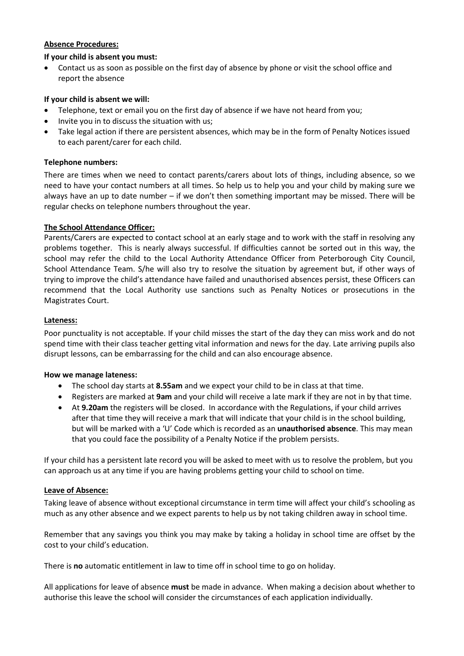#### **Absence Procedures:**

#### **If your child is absent you must:**

• Contact us as soon as possible on the first day of absence by phone or visit the school office and report the absence

#### **If your child is absent we will:**

- Telephone, text or email you on the first day of absence if we have not heard from you;
- Invite you in to discuss the situation with us;
- Take legal action if there are persistent absences, which may be in the form of Penalty Notices issued to each parent/carer for each child.

#### **Telephone numbers:**

There are times when we need to contact parents/carers about lots of things, including absence, so we need to have your contact numbers at all times. So help us to help you and your child by making sure we always have an up to date number – if we don't then something important may be missed. There will be regular checks on telephone numbers throughout the year.

#### **The School Attendance Officer:**

Parents/Carers are expected to contact school at an early stage and to work with the staff in resolving any problems together. This is nearly always successful. If difficulties cannot be sorted out in this way, the school may refer the child to the Local Authority Attendance Officer from Peterborough City Council, School Attendance Team. S/he will also try to resolve the situation by agreement but, if other ways of trying to improve the child's attendance have failed and unauthorised absences persist, these Officers can recommend that the Local Authority use sanctions such as Penalty Notices or prosecutions in the Magistrates Court.

#### **Lateness:**

Poor punctuality is not acceptable. If your child misses the start of the day they can miss work and do not spend time with their class teacher getting vital information and news for the day. Late arriving pupils also disrupt lessons, can be embarrassing for the child and can also encourage absence.

#### **How we manage lateness:**

- The school day starts at **8.55am** and we expect your child to be in class at that time.
- Registers are marked at **9am** and your child will receive a late mark if they are not in by that time.
- At **9.20am** the registers will be closed. In accordance with the Regulations, if your child arrives after that time they will receive a mark that will indicate that your child is in the school building, but will be marked with a 'U' Code which is recorded as an **unauthorised absence**. This may mean that you could face the possibility of a Penalty Notice if the problem persists.

If your child has a persistent late record you will be asked to meet with us to resolve the problem, but you can approach us at any time if you are having problems getting your child to school on time.

#### **Leave of Absence:**

Taking leave of absence without exceptional circumstance in term time will affect your child's schooling as much as any other absence and we expect parents to help us by not taking children away in school time.

Remember that any savings you think you may make by taking a holiday in school time are offset by the cost to your child's education.

There is **no** automatic entitlement in law to time off in school time to go on holiday.

All applications for leave of absence **must** be made in advance. When making a decision about whether to authorise this leave the school will consider the circumstances of each application individually.